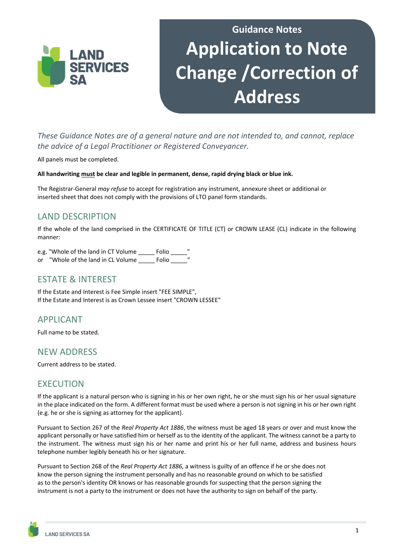

# **Guidance Notes Application to Note Change /Correction of Address**

*These Guidance Notes are of a general nature and are not intended to, and cannot, replace the advice of a Legal Practitioner or Registered Conveyancer.* 

All panels must be completed.

#### **All handwriting must be clear and legible in permanent, dense, rapid drying black or blue ink.**

The Registrar-General *may refuse* to accept for registration any instrument, annexure sheet or additional or inserted sheet that does not comply with the provisions of LTO panel form standards.

# LAND DESCRIPTION

If the whole of the land comprised in the CERTIFICATE OF TITLE (CT) or CROWN LEASE (CL) indicate in the following manner:

e.g. "Whole of the land in CT Volume \_\_\_\_\_ Folio \_\_\_ or "Whole of the land in CL Volume \_\_\_\_\_\_\_ Folio

### ESTATE & INTEREST

If the Estate and Interest is Fee Simple insert "FEE SIMPLE", If the Estate and Interest is as Crown Lessee insert "CROWN LESSEE"

# APPLICANT

Full name to be stated.

### NEW ADDRESS

Current address to be stated.

# **EXECUTION**

If the applicant is a natural person who is signing in his or her own right, he or she must sign his or her usual signature in the place indicated on the form. A different format must be used where a person is not signing in his or her own right (e.g. he or she is signing as attorney for the applicant).

Pursuant to Section 267 of the *Real Property Act 1886*, the witness must be aged 18 years or over and must know the applicant personally or have satisfied him or herself as to the identity of the applicant. The witness cannot be a party to the instrument. The witness must sign his or her name and print his or her full name, address and business hours telephone number legibly beneath his or her signature.

Pursuant to Section 268 of the *Real Property Act 1886,* a witness is guilty of an offence if he or she does not know the person signing the instrument personally and has no reasonable ground on which to be satisfied as to the person's identity OR knows or has reasonable grounds for suspecting that the person signing the instrument is not a party to the instrument or does not have the authority to sign on behalf of the party.